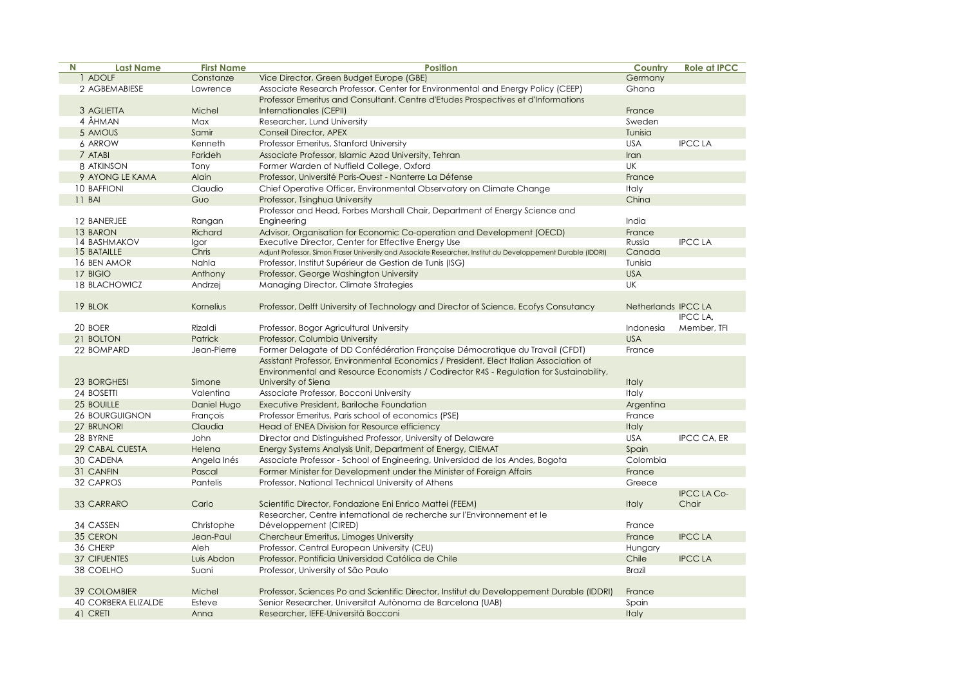| N | <b>Last Name</b>           | <b>First Name</b> | <b>Position</b>                                                                                               | Country             | <b>Role at IPCC</b> |
|---|----------------------------|-------------------|---------------------------------------------------------------------------------------------------------------|---------------------|---------------------|
|   | 1 ADOLF                    | Constanze         | Vice Director, Green Budget Europe (GBE)                                                                      | Germany             |                     |
|   | 2 AGBEMABIESE              | Lawrence          | Associate Research Professor, Center for Environmental and Energy Policy (CEEP)                               | Ghana               |                     |
|   |                            |                   | Professor Emeritus and Consultant, Centre d'Etudes Prospectives et d'Informations                             |                     |                     |
|   | 3 AGLIETTA                 | Michel            | Internationales (CEPII)                                                                                       | France              |                     |
|   | 4 ÅHMAN                    | Max               | Researcher, Lund University                                                                                   | Sweden              |                     |
|   | 5 AMOUS                    | Samir             | <b>Conseil Director, APEX</b>                                                                                 | Tunisia             |                     |
|   | 6 ARROW                    | Kenneth           | Professor Emeritus, Stanford University                                                                       | <b>USA</b>          | <b>IPCC LA</b>      |
|   | 7 ATABI                    | Farideh           | Associate Professor, Islamic Azad University, Tehran                                                          | Iran                |                     |
|   | 8 ATKINSON                 | Tony              | Former Warden of Nuffield College, Oxford                                                                     | UK                  |                     |
|   | 9 AYONG LE KAMA            | Alain             | Professor, Université Paris-Ouest - Nanterre La Défense                                                       | France              |                     |
|   | <b>10 BAFFIONI</b>         | Claudio           | Chief Operative Officer, Environmental Observatory on Climate Change                                          | Italy               |                     |
|   | 11 BAI                     | Guo               | Professor, Tsinghua University                                                                                | China               |                     |
|   |                            |                   | Professor and Head, Forbes Marshall Chair, Department of Energy Science and                                   |                     |                     |
|   | 12 BANERJEE                | Rangan            | Engineering                                                                                                   | India               |                     |
|   | 13 BARON                   | Richard           | Advisor, Organisation for Economic Co-operation and Development (OECD)                                        | France              |                     |
|   | 14 BASHMAKOV               | Igor              | Executive Director, Center for Effective Energy Use                                                           | Russia              | <b>IPCC LA</b>      |
|   | 15 BATAILLE                | Chris             | Adjunt Professor, Simon Fraser University and Associate Researcher, Institut du Developpement Durable (IDDRI) | Canada              |                     |
|   | 16 BEN AMOR                | Nahla             | Professor, Institut Supérieur de Gestion de Tunis (ISG)                                                       | Tunisia             |                     |
|   | 17 BIGIO                   | Anthony           | Professor, George Washington University                                                                       | <b>USA</b>          |                     |
|   | <b>18 BLACHOWICZ</b>       | Andrzej           | Managing Director, Climate Strategies                                                                         | UK                  |                     |
|   |                            |                   |                                                                                                               |                     |                     |
|   | 19 BLOK                    | Kornelius         | Professor, Delft University of Technology and Director of Science, Ecofys Consutancy                          | Netherlands IPCC LA |                     |
|   |                            |                   |                                                                                                               |                     | <b>IPCC LA.</b>     |
|   | 20 BOER                    | Rizaldi           | Professor, Bogor Agricultural University                                                                      | Indonesia           | Member, TFI         |
|   | 21 BOLTON                  | Patrick           | Professor, Columbia University                                                                                | <b>USA</b>          |                     |
|   | 22 BOMPARD                 | Jean-Pierre       | Former Delagate of DD Confédération Française Démocratique du Travail (CFDT)                                  | France              |                     |
|   |                            |                   | Assistant Professor, Environmental Economics / President, Elect Italian Association of                        |                     |                     |
|   |                            |                   | Environmental and Resource Economists / Codirector R4S - Regulation for Sustainability,                       |                     |                     |
|   | 23 BORGHESI                | Simone            | University of Siena                                                                                           | <b>Italy</b>        |                     |
|   | 24 BOSETTI                 | Valentina         | Associate Professor, Bocconi University                                                                       | Italy               |                     |
|   | 25 BOUILLE                 | Daniel Hugo       | Executive President, Bariloche Foundation                                                                     | Argentina           |                     |
|   | <b>26 BOURGUIGNON</b>      | Francois          | Professor Emeritus, Paris school of economics (PSE)                                                           | France              |                     |
|   | 27 BRUNORI                 | Claudia           | Head of ENEA Division for Resource efficiency                                                                 | <b>Italy</b>        |                     |
|   | 28 BYRNE                   | John              | Director and Distinguished Professor, University of Delaware                                                  | <b>USA</b>          | IPCC CA, ER         |
|   | 29 CABAL CUESTA            | Helena            |                                                                                                               |                     |                     |
|   |                            |                   | Energy Systems Analysis Unit, Department of Energy, CIEMAT                                                    | Spain               |                     |
|   | 30 CADENA                  | Angela Inés       | Associate Professor - School of Engineering, Universidad de los Andes, Bogota                                 | Colombia            |                     |
|   | 31 CANFIN                  | Pascal            | Former Minister for Development under the Minister of Foreign Affairs                                         | France              |                     |
|   | 32 CAPROS                  | Pantelis          | Professor, National Technical University of Athens                                                            | Greece              |                     |
|   |                            |                   |                                                                                                               |                     | <b>IPCC LA Co-</b>  |
|   | 33 CARRARO                 | Carlo             | Scientific Director, Fondazione Eni Enrico Mattei (FEEM)                                                      | Italy               | Chair               |
|   |                            |                   | Researcher, Centre international de recherche sur l'Environnement et le                                       |                     |                     |
|   | 34 CASSEN                  | Christophe        | Développement (CIRED)                                                                                         | France              |                     |
|   | 35 CERON                   | Jean-Paul         | Chercheur Emeritus, Limoges University                                                                        | France              | <b>IPCC LA</b>      |
|   | 36 CHERP                   | Aleh              | Professor, Central European University (CEU)                                                                  | Hungary             |                     |
|   | <b>37 CIFUENTES</b>        | Luis Abdon        | Professor, Pontificia Universidad Católica de Chile                                                           | Chile               | <b>IPCC LA</b>      |
|   | 38 COELHO                  | Suani             | Professor, University of São Paulo                                                                            | Brazil              |                     |
|   |                            |                   |                                                                                                               |                     |                     |
|   | <b>39 COLOMBIER</b>        | Michel            | Professor, Sciences Po and Scientific Director, Institut du Developpement Durable (IDDRI)                     | France              |                     |
|   | <b>40 CORBERA ELIZALDE</b> | Esteve            | Senior Researcher, Universitat Autònoma de Barcelona (UAB)                                                    | Spain               |                     |
|   | 41 CRETI                   | Anna              | Researcher, IEFE-Università Bocconi                                                                           | <b>Italy</b>        |                     |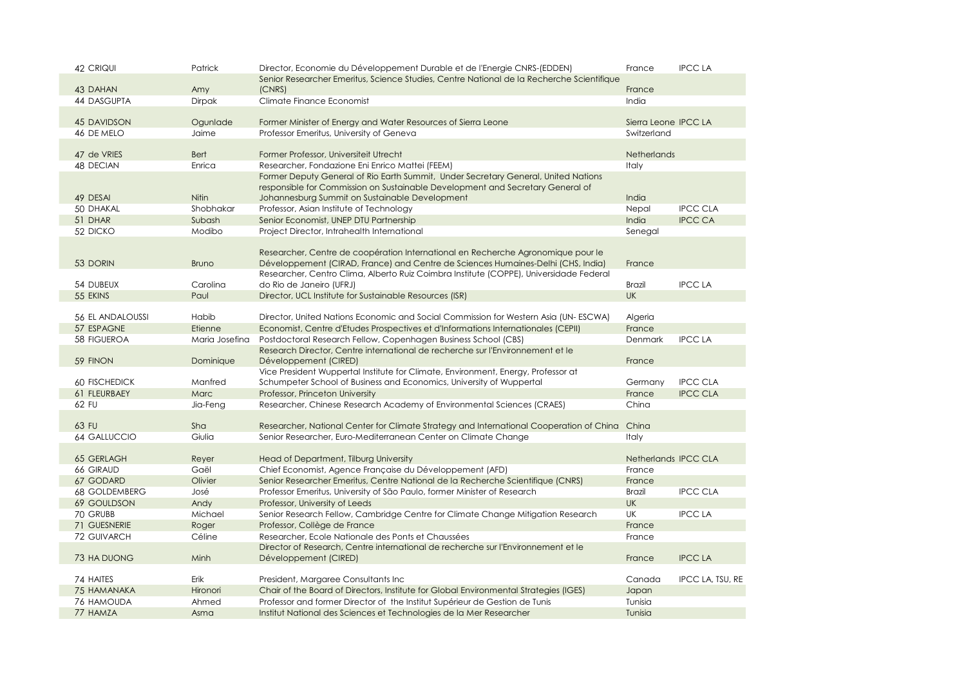| 42 CRIQUI               | Patrick        | Director, Economie du Développement Durable et de l'Energie CNRS-(EDDEN)                                | France               | <b>IPCC LA</b>   |
|-------------------------|----------------|---------------------------------------------------------------------------------------------------------|----------------------|------------------|
|                         |                | Senior Researcher Emeritus, Science Studies, Centre National de la Recherche Scientifique               |                      |                  |
| 43 DAHAN                | Amy            | (CNRS)                                                                                                  | France               |                  |
| 44 DASGUPTA             | <b>Dirpak</b>  | Climate Finance Economist                                                                               | India                |                  |
|                         |                |                                                                                                         |                      |                  |
| <b>45 DAVIDSON</b>      | Ogunlade       | Former Minister of Energy and Water Resources of Sierra Leone                                           | Sierra Leone IPCC LA |                  |
| 46 DE MELO              | Jaime          | Professor Emeritus, University of Geneva                                                                | Switzerland          |                  |
|                         |                |                                                                                                         |                      |                  |
| 47 de VRIES             | <b>Bert</b>    | Former Professor, Universiteit Utrecht                                                                  | <b>Netherlands</b>   |                  |
| 48 DECIAN               | Enrica         | Researcher, Fondazione Eni Enrico Mattei (FEEM)                                                         | <b>Italy</b>         |                  |
|                         |                | Former Deputy General of Rio Earth Summit, Under Secretary General, United Nations                      |                      |                  |
|                         |                | responsible for Commission on Sustainable Development and Secretary General of                          |                      |                  |
| 49 DESAI                | <b>Nitin</b>   | Johannesburg Summit on Sustainable Development                                                          | India                |                  |
| 50 DHAKAL               | Shobhakar      | Professor, Asian Institute of Technology                                                                | Nepal                | <b>IPCC CLA</b>  |
| 51 DHAR                 | Subash         | Senior Economist, UNEP DTU Partnership                                                                  | India                | <b>IPCC CA</b>   |
| 52 DICKO                | Modibo         | Project Director, Intrahealth International                                                             | Senegal              |                  |
|                         |                |                                                                                                         |                      |                  |
|                         |                | Researcher, Centre de coopération International en Recherche Agronomique pour le                        |                      |                  |
| 53 DORIN                | <b>Bruno</b>   | Développement (CIRAD, France) and Centre de Sciences Humaines-Delhi (CHS, India)                        | France               |                  |
|                         |                | Researcher, Centro Clima, Alberto Ruiz Coimbra Institute (COPPE), Universidade Federal                  |                      |                  |
| 54 DUBEUX               | Carolina       | do Rio de Janeiro (UFRJ)                                                                                | <b>Brazil</b>        | <b>IPCC LA</b>   |
| 55 EKINS                | Paul           | Director, UCL Institute for Sustainable Resources (ISR)                                                 | <b>UK</b>            |                  |
|                         |                |                                                                                                         |                      |                  |
| <b>56 EL ANDALOUSSI</b> | Habib          | Director, United Nations Economic and Social Commission for Western Asia (UN-ESCWA)                     | Algeria              |                  |
| 57 ESPAGNE              | Etienne        | Economist, Centre d'Etudes Prospectives et d'Informations Internationales (CEPII)                       | France               |                  |
| 58 FIGUEROA             | Maria Josefina | Postdoctoral Research Fellow, Copenhagen Business School (CBS)                                          | Denmark              | <b>IPCC LA</b>   |
| 59 FINON                | Dominique      | Research Director, Centre international de recherche sur l'Environnement et le<br>Développement (CIRED) | France               |                  |
|                         |                | Vice President Wuppertal Institute for Climate, Environment, Energy, Professor at                       |                      |                  |
| <b>60 FISCHEDICK</b>    | Manfred        | Schumpeter School of Business and Economics, University of Wuppertal                                    | Germany              | <b>IPCC CLA</b>  |
| 61 FLEURBAEY            | <b>Marc</b>    | Professor, Princeton University                                                                         | France               | <b>IPCC CLA</b>  |
| 62 FU                   | Jia-Feng       | Researcher, Chinese Research Academy of Environmental Sciences (CRAES)                                  | China                |                  |
|                         |                |                                                                                                         |                      |                  |
| 63 FU                   | Sha            | Researcher, National Center for Climate Strategy and International Cooperation of China China           |                      |                  |
| <b>64 GALLUCCIO</b>     | Giulia         | Senior Researcher, Euro-Mediterranean Center on Climate Change                                          | <b>Italy</b>         |                  |
|                         |                |                                                                                                         |                      |                  |
| <b>65 GERLAGH</b>       | Reyer          | Head of Department, Tilburg University                                                                  | Netherlands IPCC CLA |                  |
| 66 GIRAUD               | Gaël           | Chief Economist, Agence Française du Développement (AFD)                                                | France               |                  |
| 67 GODARD               | Olivier        | Senior Researcher Emeritus, Centre National de la Recherche Scientifique (CNRS)                         | France               |                  |
| 68 GOLDEMBERG           | José           | Professor Emeritus, University of São Paulo, former Minister of Research                                | Brazil               | <b>IPCC CLA</b>  |
| 69 GOULDSON             | Andy           | Professor, University of Leeds                                                                          | <b>UK</b>            |                  |
| 70 GRUBB                | Michael        | Senior Research Fellow, Cambridge Centre for Climate Change Mitigation Research                         | UK                   | <b>IPCC LA</b>   |
| 71 GUESNERIE            | Roger          | Professor, Collège de France                                                                            | France               |                  |
| 72 GUIVARCH             | Céline         | Researcher, Ecole Nationale des Ponts et Chaussées                                                      | France               |                  |
|                         |                | Director of Research, Centre international de recherche sur l'Environnement et le                       |                      |                  |
| 73 HA DUONG             | Minh           | Développement (CIRED)                                                                                   | France               | <b>IPCC LA</b>   |
|                         |                |                                                                                                         |                      |                  |
| 74 HAITES               | Erik           | President, Margaree Consultants Inc                                                                     | Canada               | IPCC LA, TSU, RE |
| 75 HAMANAKA             | Hironori       | Chair of the Board of Directors, Institute for Global Environmental Strategies (IGES)                   | Japan                |                  |
| <b>76 HAMOUDA</b>       | Ahmed          | Professor and former Director of the Institut Supérieur de Gestion de Tunis                             | Tunisia              |                  |
| 77 HAMZA                | Asma           | Institut National des Sciences et Technologies de la Mer Researcher                                     | Tunisia              |                  |
|                         |                |                                                                                                         |                      |                  |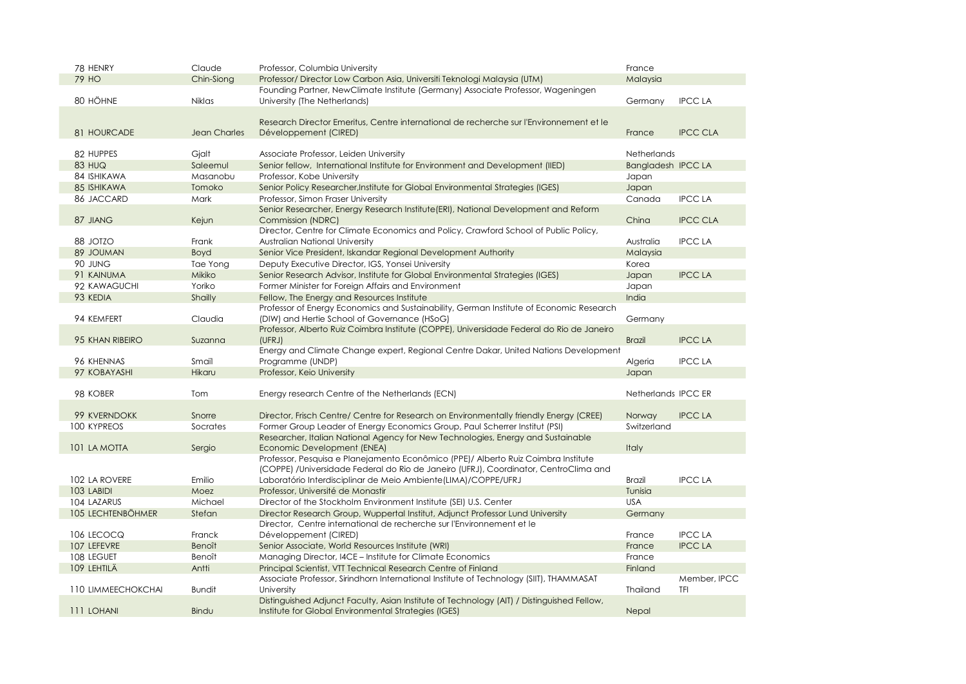| 78 HENRY           | Claude              | Professor, Columbia University                                                             | France              |                 |
|--------------------|---------------------|--------------------------------------------------------------------------------------------|---------------------|-----------------|
| <b>79 HO</b>       | Chin-Siong          | Professor/ Director Low Carbon Asia, Universiti Teknologi Malaysia (UTM)                   | Malaysia            |                 |
|                    |                     | Founding Partner, NewClimate Institute (Germany) Associate Professor, Wageningen           |                     |                 |
| 80 HÖHNE           | <b>Niklas</b>       | University (The Netherlands)                                                               | Germany             | <b>IPCC LA</b>  |
|                    |                     |                                                                                            |                     |                 |
|                    |                     | Research Director Emeritus, Centre international de recherche sur l'Environnement et le    |                     |                 |
| 81 HOURCADE        | <b>Jean Charles</b> | Développement (CIRED)                                                                      | France              | <b>IPCC CLA</b> |
|                    |                     |                                                                                            |                     |                 |
| 82 HUPPES          | Gjalt               | Associate Professor, Leiden University                                                     | <b>Netherlands</b>  |                 |
| <b>83 HUQ</b>      | Saleemul            | Senior fellow, International Institute for Environment and Development (IIED)              | Bangladesh IPCC LA  |                 |
| 84 ISHIKAWA        | Masanobu            | Professor, Kobe University                                                                 | Japan               |                 |
| 85 ISHIKAWA        | Tomoko              | Senior Policy Researcher, Institute for Global Environmental Strategies (IGES)             | Japan               |                 |
| 86 JACCARD         | Mark                | Professor, Simon Fraser University                                                         | Canada              | <b>IPCC LA</b>  |
|                    |                     | Senior Researcher, Energy Research Institute (ERI), National Development and Reform        |                     |                 |
| 87 JIANG           | Kejun               | Commission (NDRC)                                                                          | China               | <b>IPCC CLA</b> |
|                    |                     | Director, Centre for Climate Economics and Policy, Crawford School of Public Policy,       |                     |                 |
| 88 JOTZO           | Frank               | Australian National University                                                             | Australia           | <b>IPCC LA</b>  |
| 89 JOUMAN          | Boyd                | Senior Vice President, Iskandar Regional Development Authority                             | Malaysia            |                 |
| 90 JUNG            | Tae Yong            | Deputy Executive Director, IGS, Yonsei University                                          | Korea               |                 |
| 91 KAINUMA         | Mikiko              | Senior Research Advisor, Institute for Global Environmental Strategies (IGES)              | Japan               | <b>IPCC LA</b>  |
| 92 KAWAGUCHI       | Yoriko              | Former Minister for Foreign Affairs and Environment                                        | Japan               |                 |
| 93 KEDIA           | Shailly             | Fellow, The Energy and Resources Institute                                                 | India               |                 |
|                    |                     | Professor of Energy Economics and Sustainability, German Institute of Economic Research    |                     |                 |
| 94 KEMFERT         | Claudia             | (DIW) and Hertie School of Governance (HSoG)                                               | Germany             |                 |
|                    |                     | Professor, Alberto Ruiz Coimbra Institute (COPPE), Universidade Federal do Rio de Janeiro  |                     |                 |
| 95 KHAN RIBEIRO    | Suzanna             | (UFRJ)                                                                                     | <b>Brazil</b>       | <b>IPCCLA</b>   |
|                    |                     | Energy and Climate Change expert, Regional Centre Dakar, United Nations Development        |                     |                 |
| 96 KHENNAS         | Smail               | Programme (UNDP)                                                                           | Algeria             | <b>IPCC LA</b>  |
| 97 KOBAYASHI       | Hikaru              | Professor, Keio University                                                                 | Japan               |                 |
|                    |                     |                                                                                            |                     |                 |
| 98 KOBER           | Tom                 | Energy research Centre of the Netherlands (ECN)                                            | Netherlands IPCC ER |                 |
|                    |                     |                                                                                            |                     |                 |
| 99 KVERNDOKK       | Snorre              | Director, Frisch Centre/ Centre for Research on Environmentally friendly Energy (CREE)     | Norway              | <b>IPCC LA</b>  |
| <b>100 KYPREOS</b> | Socrates            | Former Group Leader of Energy Economics Group, Paul Scherrer Institut (PSI)                | Switzerland         |                 |
|                    |                     | Researcher, Italian National Agency for New Technologies, Energy and Sustainable           |                     |                 |
| 101 LA MOTTA       | Sergio              | Economic Development (ENEA)                                                                | Italy               |                 |
|                    |                     | Professor, Pesquisa e Planejamento Econômico (PPE)/ Alberto Ruiz Coimbra Institute         |                     |                 |
|                    |                     | (COPPE) /Universidade Federal do Rio de Janeiro (UFRJ), Coordinator, CentroClima and       |                     |                 |
| 102 LA ROVERE      | Emilio              | Laboratório Interdisciplinar de Meio Ambiente (LIMA)/COPPE/UFRJ                            | <b>Brazil</b>       | <b>IPCC LA</b>  |
| 103 LABIDI         | Moez                | Professor, Université de Monastir                                                          | Tunisia             |                 |
| 104 LAZARUS        | Michael             | Director of the Stockholm Environment Institute (SEI) U.S. Center                          | <b>USA</b>          |                 |
| 105 LECHTENBÖHMER  | Stefan              | Director Research Group, Wuppertal Institut, Adjunct Professor Lund University             | Germany             |                 |
|                    |                     | Director, Centre international de recherche sur l'Environnement et le                      |                     |                 |
| 106 LECOCQ         | Franck              | Développement (CIRED)                                                                      | France              | <b>IPCC LA</b>  |
| 107 LEFEVRE        | <b>Benoît</b>       | Senior Associate, World Resources Institute (WRI)                                          | France              | <b>IPCC LA</b>  |
| 108 LEGUET         | Benoît              | Managing Director, I4CE – Institute for Climate Economics                                  | France              |                 |
| 109 LEHTILÄ        | Antti               | Principal Scientist, VTT Technical Research Centre of Finland                              | Finland             |                 |
|                    |                     | Associate Professor, Sirindhorn International Institute of Technology (SIIT), THAMMASAT    |                     | Member, IPCC    |
| 110 LIMMEECHOKCHAI | <b>Bundit</b>       | University                                                                                 | <b>Thailand</b>     | TFI             |
|                    |                     | Distinguished Adjunct Faculty, Asian Institute of Technology (AIT) / Distinguished Fellow, |                     |                 |
| 111 LOHANI         | Bindu               | Institute for Global Environmental Strategies (IGES)                                       | Nepal               |                 |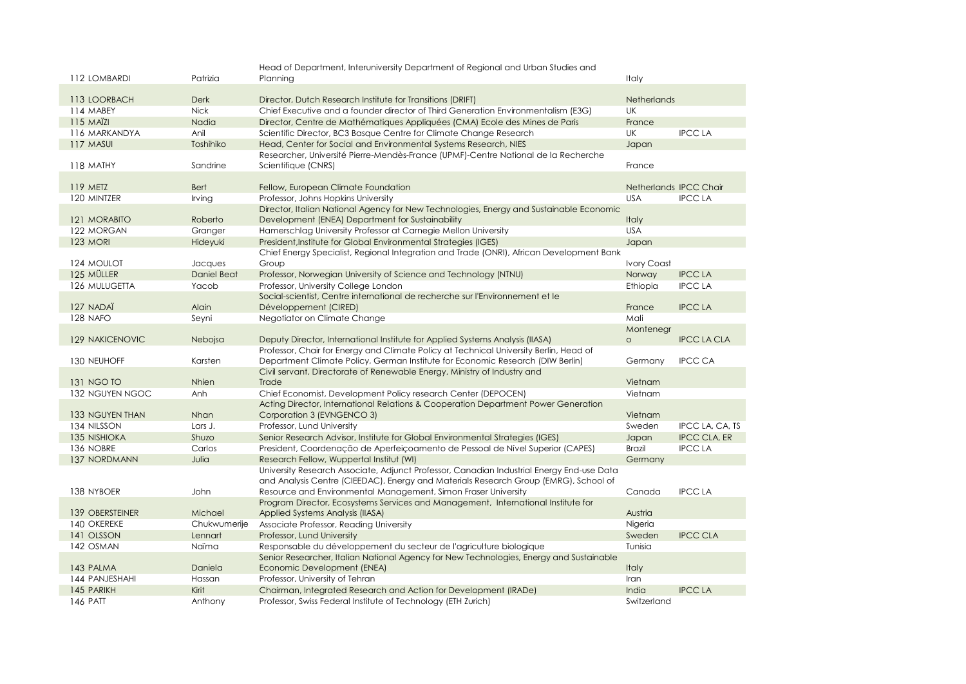|                     |                | Head of Department, Interuniversity Department of Regional and Urban Studies and                          |                        |                     |
|---------------------|----------------|-----------------------------------------------------------------------------------------------------------|------------------------|---------------------|
| 112 LOMBARDI        | Patrizia       | Planning                                                                                                  | <b>Italy</b>           |                     |
| 113 LOORBACH        | <b>Derk</b>    | Director, Dutch Research Institute for Transitions (DRIFT)                                                | <b>Netherlands</b>     |                     |
| 114 MABEY           | <b>Nick</b>    | Chief Executive and a founder director of Third Generation Environmentalism (E3G)                         | UK                     |                     |
| $115$ MA $\ddot{z}$ | Nadia          | Director, Centre de Mathématiques Appliquées (CMA) Ecole des Mines de Paris                               | France                 |                     |
| 116 MARKANDYA       | Anil           | Scientific Director, BC3 Basque Centre for Climate Change Research                                        | UK                     | <b>IPCC LA</b>      |
| 117 MASUI           | Toshihiko      | Head, Center for Social and Environmental Systems Research, NIES                                          | Japan                  |                     |
| 118 MATHY           | Sandrine       | Researcher, Université Pierre-Mendès-France (UPMF)-Centre National de la Recherche<br>Scientifique (CNRS) | France                 |                     |
|                     |                |                                                                                                           |                        |                     |
| 119 METZ            | <b>Bert</b>    | Fellow, European Climate Foundation                                                                       | Netherlands IPCC Chair |                     |
| 120 MINTZER         | Irving         | Professor, Johns Hopkins University                                                                       | <b>USA</b>             | <b>IPCC LA</b>      |
|                     |                | Director, Italian National Agency for New Technologies, Energy and Sustainable Economic                   |                        |                     |
| 121 MORABITO        | Roberto        | Development (ENEA) Department for Sustainability                                                          | Italy                  |                     |
| 122 MORGAN          | Granger        | Hamerschlag University Professor at Carnegie Mellon University                                            | <b>USA</b>             |                     |
| <b>123 MORI</b>     | Hideyuki       | President, Institute for Global Environmental Strategies (IGES)                                           | Japan                  |                     |
|                     |                | Chief Energy Specialist, Regional Integration and Trade (ONRI), African Development Bank                  |                        |                     |
| 124 MOULOT          | Jacques        | Group                                                                                                     | <b>Ivory Coast</b>     |                     |
| 125 MÜLLER          | Daniel Beat    | Professor, Norwegian University of Science and Technology (NTNU)                                          | Norway                 | <b>IPCC LA</b>      |
| 126 MULUGETTA       | Yacob          | Professor, University College London                                                                      | Ethiopia               | <b>IPCC LA</b>      |
|                     |                | Social-scientist, Centre international de recherche sur l'Environnement et le                             |                        |                     |
| 127 NADAÏ           | Alain          | Développement (CIRED)                                                                                     | France                 | <b>IPCC LA</b>      |
| 128 NAFO            | Seyni          | Negotiator on Climate Change                                                                              | Mali                   |                     |
|                     |                |                                                                                                           | Montenegr              |                     |
| 129 NAKICENOVIC     | <b>Nebojsa</b> | Deputy Director, International Institute for Applied Systems Analysis (IIASA)                             | $\circ$                | <b>IPCC LA CLA</b>  |
|                     |                | Professor, Chair for Energy and Climate Policy at Technical University Berlin, Head of                    |                        |                     |
| 130 NEUHOFF         | Karsten        | Department Climate Policy, German Institute for Economic Research (DIW Berlin)                            | Germany                | <b>IPCC CA</b>      |
|                     |                | Civil servant, Directorate of Renewable Energy, Ministry of Industry and                                  |                        |                     |
| <b>131 NGO TO</b>   | Nhien          | Trade                                                                                                     | Vietnam                |                     |
| 132 NGUYEN NGOC     | Anh            | Chief Economist, Development Policy research Center (DEPOCEN)                                             | Vietnam                |                     |
|                     |                | Acting Director, International Relations & Cooperation Department Power Generation                        |                        |                     |
| 133 NGUYEN THAN     | Nhan           | Corporation 3 (EVNGENCO 3)                                                                                | Vietnam                |                     |
| 134 NILSSON         | Lars J.        | Professor, Lund University                                                                                | Sweden                 | IPCC LA, CA, TS     |
| 135 NISHIOKA        | Shuzo          | Senior Research Advisor, Institute for Global Environmental Strategies (IGES)                             | Japan                  | <b>IPCC CLA, ER</b> |
| 136 NOBRE           | Carlos         | President, Coordenação de Aperfeiçoamento de Pessoal de Nível Superior (CAPES)                            | <b>Brazil</b>          | <b>IPCC LA</b>      |
| 137 NORDMANN        | Julia          | Research Fellow, Wuppertal Institut (WI)                                                                  | Germany                |                     |
|                     |                | University Research Associate, Adjunct Professor, Canadian Industrial Energy End-use Data                 |                        |                     |
|                     |                | and Analysis Centre (CIEEDAC), Energy and Materials Research Group (EMRG), School of                      |                        |                     |
| 138 NYBOER          | John           | Resource and Environmental Management, Simon Fraser University                                            | Canada                 | <b>IPCC LA</b>      |
|                     |                | Program Director, Ecosystems Services and Management, International Institute for                         |                        |                     |
| 139 OBERSTEINER     | Michael        | Applied Systems Analysis (IIASA)                                                                          | Austria                |                     |
| 140 OKEREKE         | Chukwumerije   | Associate Professor, Reading University                                                                   | Nigeria                |                     |
| 141 OLSSON          | Lennart        | Professor, Lund University                                                                                | Sweden                 | <b>IPCC CLA</b>     |
| 142 OSMAN           | Naïma          | Responsable du développement du secteur de l'agriculture biologique                                       | Tunisia                |                     |
|                     |                | Senior Researcher, Italian National Agency for New Technologies, Energy and Sustainable                   |                        |                     |
| 143 PALMA           | Daniela        | Economic Development (ENEA)                                                                               | <b>Italy</b>           |                     |
| 144 PANJESHAHI      | Hassan         | Professor, University of Tehran                                                                           | Iran                   |                     |
| 145 PARIKH          | Kirit          | Chairman, Integrated Research and Action for Development (IRADe)                                          | India                  | <b>IPCC LA</b>      |
| 146 PATT            | Anthony        | Professor, Swiss Federal Institute of Technology (ETH Zurich)                                             | Switzerland            |                     |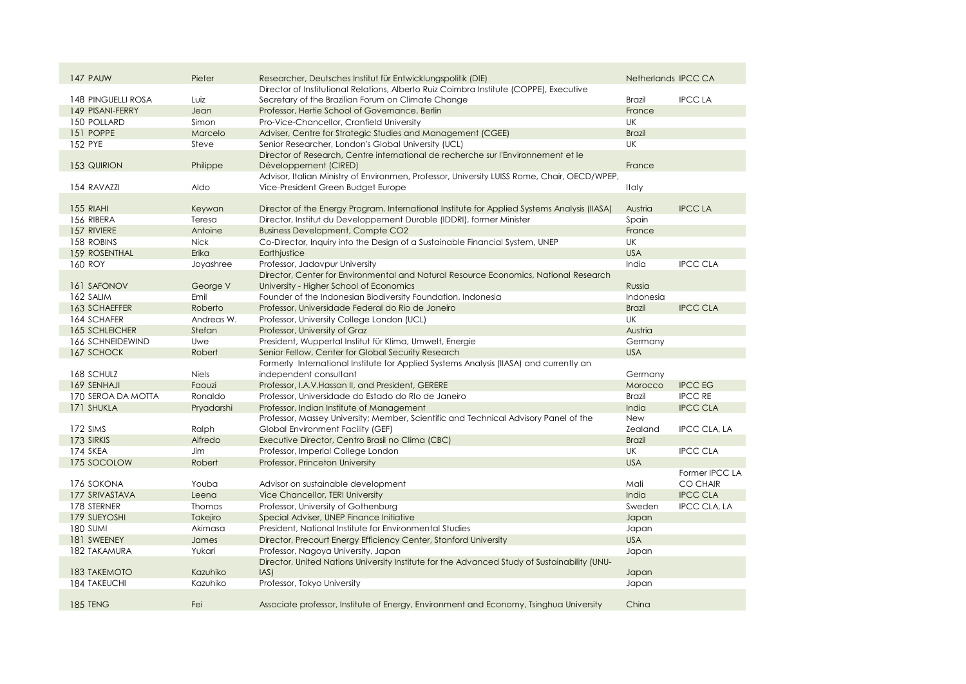| 147 PAUW            | Pieter       | Researcher, Deutsches Institut für Entwicklungspolitik (DIE)                                 | Netherlands IPCC CA |                     |
|---------------------|--------------|----------------------------------------------------------------------------------------------|---------------------|---------------------|
|                     |              | Director of Institutional Relations, Alberto Ruiz Coimbra Institute (COPPE), Executive       |                     |                     |
| 148 PINGUELLI ROSA  | Luiz         | Secretary of the Brazilian Forum on Climate Change                                           | <b>Brazil</b>       | <b>IPCC LA</b>      |
| 149 PISANI-FERRY    | Jean         | Professor, Hertie School of Governance, Berlin                                               | France              |                     |
| 150 POLLARD         | Simon        | Pro-Vice-Chancellor, Cranfield University                                                    | <b>UK</b>           |                     |
| 151 POPPE           | Marcelo      | Adviser, Centre for Strategic Studies and Management (CGEE)                                  | <b>Brazil</b>       |                     |
| 152 PYE             | Steve        | Senior Researcher, London's Global University (UCL)                                          | <b>UK</b>           |                     |
|                     |              | Director of Research, Centre international de recherche sur l'Environnement et le            |                     |                     |
| 153 QUIRION         | Philippe     | Développement (CIRED)                                                                        | France              |                     |
|                     |              | Advisor, Italian Ministry of Environmen, Professor, University LUISS Rome, Chair, OECD/WPEP, |                     |                     |
| 154 RAVAZZI         | Aldo         | Vice-President Green Budget Europe                                                           | Italy               |                     |
|                     |              |                                                                                              |                     |                     |
| 155 RIAHI           | Keywan       | Director of the Energy Program, International Institute for Applied Systems Analysis (IIASA) | Austria             | <b>IPCC LA</b>      |
| 156 RIBERA          | Teresa       | Director, Institut du Developpement Durable (IDDRI), former Minister                         | Spain               |                     |
| 157 RIVIERE         | Antoine      | <b>Business Development, Compte CO2</b>                                                      | France              |                     |
| 158 ROBINS          | <b>Nick</b>  | Co-Director, Inquiry into the Design of a Sustainable Financial System, UNEP                 | <b>UK</b>           |                     |
| 159 ROSENTHAL       | Erika        | Earthjustice                                                                                 | <b>USA</b>          |                     |
| 160 ROY             | Joyashree    | Professor, Jadavpur University                                                               | India               | <b>IPCC CLA</b>     |
|                     |              | Director, Center for Environmental and Natural Resource Economics, National Research         |                     |                     |
| 161 SAFONOV         | George V     | University - Higher School of Economics                                                      | Russia              |                     |
| 162 SALIM           | Emil         | Founder of the Indonesian Biodiversity Foundation, Indonesia                                 | Indonesia           |                     |
| 163 SCHAEFFER       | Roberto      | Professor, Universidade Federal do Rio de Janeiro                                            | <b>Brazil</b>       | <b>IPCC CLA</b>     |
| 164 SCHAFER         | Andreas W.   | Professor, University College London (UCL)                                                   | UK                  |                     |
| 165 SCHLEICHER      | Stefan       | Professor, University of Graz                                                                | Austria             |                     |
| 166 SCHNEIDEWIND    | Uwe          | President, Wuppertal Institut für Klima, Umwelt, Energie                                     | Germany             |                     |
| 167 SCHOCK          | Robert       | Senior Fellow, Center for Global Security Research                                           | <b>USA</b>          |                     |
|                     |              | Formerly International Institute for Applied Systems Analysis (IIASA) and currently an       |                     |                     |
| 168 SCHULZ          | <b>Niels</b> | independent consultant                                                                       | Germany             |                     |
| 169 SENHAJI         | Faouzi       | Professor, I.A.V. Hassan II, and President, GERERE                                           | Morocco             | <b>IPCC EG</b>      |
| 170 SEROA DA MOTTA  | Ronaldo      | Professor, Universidade do Estado do RIo de Janeiro                                          | <b>Brazil</b>       | <b>IPCC RE</b>      |
| 171 SHUKLA          | Pryadarshi   | Professor, Indian Institute of Management                                                    | India               | <b>IPCC CLA</b>     |
|                     |              | Professor, Massey University; Member, Scientific and Technical Advisory Panel of the         | New                 |                     |
| 172 SIMS            | Ralph        | Global Environment Facility (GEF)                                                            | <b>Zealand</b>      | <b>IPCC CLA, LA</b> |
| 173 SIRKIS          | Alfredo      | Executive Director, Centro Brasil no Clima (CBC)                                             | <b>Brazil</b>       |                     |
| 174 SKEA            | Jim.         | Professor, Imperial College London                                                           | UK                  | <b>IPCC CLA</b>     |
| 175 SOCOLOW         | Robert       | Professor, Princeton University                                                              | <b>USA</b>          |                     |
|                     |              |                                                                                              |                     | Former IPCC LA      |
| 176 SOKONA          | Youba        |                                                                                              | Mali                | <b>CO CHAIR</b>     |
|                     |              | Advisor on sustainable development                                                           | India               | <b>IPCC CLA</b>     |
| 177 SRIVASTAVA      | Leena        | Vice Chancellor, TERI University                                                             |                     |                     |
| 178 STERNER         | Thomas       | Professor, University of Gothenburg                                                          | Sweden              | <b>IPCC CLA, LA</b> |
| 179 SUEYOSHI        | Takejiro     | Special Adviser, UNEP Finance Initiative                                                     | Japan               |                     |
| 180 SUMI            | Akimasa      | President, National Institute for Environmental Studies                                      | Japan               |                     |
| 181 SWEENEY         | James        | Director, Precourt Energy Efficiency Center, Stanford University                             | <b>USA</b>          |                     |
| 182 TAKAMURA        | Yukari       | Professor, Nagoya University, Japan                                                          | Japan               |                     |
|                     |              | Director, United Nations University Institute for the Advanced Study of Sustainability (UNU- |                     |                     |
| 183 TAKEMOTO        | Kazuhiko     | [AS]                                                                                         | Japan               |                     |
| <b>184 TAKEUCHI</b> | Kazuhiko     | Professor, Tokyo University                                                                  | Japan               |                     |
|                     |              |                                                                                              |                     |                     |
| <b>185 TENG</b>     | Fei          | Associate professor, Institute of Energy, Environment and Economy, Tsinghua University       | China               |                     |